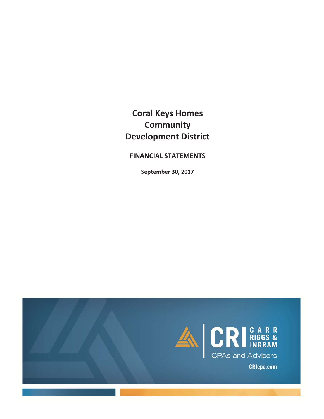**Coral Keys Homes Community Development District**

**FINANCIAL STATEMENTS**

**September 30, 2017**

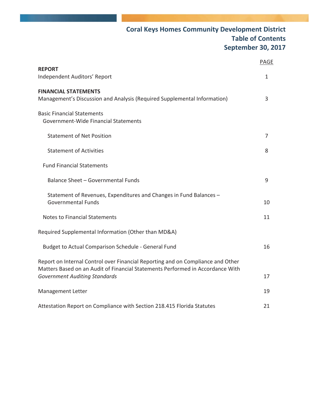# **Coral Keys Homes Community Development District Table of Contents September 30, 2017**

|                                                                                                                                                                                                           | <b>PAGE</b> |
|-----------------------------------------------------------------------------------------------------------------------------------------------------------------------------------------------------------|-------------|
| <b>REPORT</b><br>Independent Auditors' Report                                                                                                                                                             | 1           |
| <b>FINANCIAL STATEMENTS</b><br>Management's Discussion and Analysis (Required Supplemental Information)                                                                                                   | 3           |
| <b>Basic Financial Statements</b><br>Government-Wide Financial Statements                                                                                                                                 |             |
| <b>Statement of Net Position</b>                                                                                                                                                                          | 7           |
| <b>Statement of Activities</b>                                                                                                                                                                            | 8           |
| <b>Fund Financial Statements</b>                                                                                                                                                                          |             |
| Balance Sheet - Governmental Funds                                                                                                                                                                        | 9           |
| Statement of Revenues, Expenditures and Changes in Fund Balances -<br><b>Governmental Funds</b>                                                                                                           | 10          |
| <b>Notes to Financial Statements</b>                                                                                                                                                                      | 11          |
| Required Supplemental Information (Other than MD&A)                                                                                                                                                       |             |
| Budget to Actual Comparison Schedule - General Fund                                                                                                                                                       | 16          |
| Report on Internal Control over Financial Reporting and on Compliance and Other<br>Matters Based on an Audit of Financial Statements Performed in Accordance With<br><b>Government Auditing Standards</b> | 17          |
| Management Letter                                                                                                                                                                                         | 19          |
| Attestation Report on Compliance with Section 218.415 Florida Statutes                                                                                                                                    | 21          |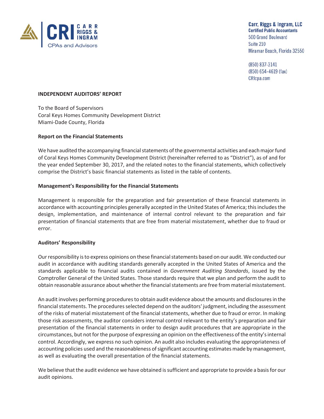

Carr, Riggs & Ingram, LLC **Certified Public Accountants** 500 Grand Boulevard Suite 210 Miramar Beach, Florida 32550

(850) 837-3141  $(850) 654 - 4619$  (fax) CRIcpa.com

#### **INDEPENDENT AUDITORS' REPORT**

To the Board of Supervisors Coral Keys Homes Community Development District Miami-Dade County, Florida

#### **Report on the Financial Statements**

We have audited the accompanying financial statements of the governmental activities and each major fund of Coral Keys Homes Community Development District (hereinafter referred to as "District"), as of and for the year ended September 30, 2017, and the related notes to the financial statements, which collectively comprise the District's basic financial statements as listed in the table of contents.

#### **Management's Responsibility for the Financial Statements**

Management is responsible for the preparation and fair presentation of these financial statements in accordance with accounting principles generally accepted in the United States of America; this includes the design, implementation, and maintenance of internal control relevant to the preparation and fair presentation of financial statements that are free from material misstatement, whether due to fraud or error.

#### **Auditors' Responsibility**

Ourresponsibility isto express opinions on these financialstatements based on our audit. We conducted our audit in accordance with auditing standards generally accepted in the United States of America and the standards applicable to financial audits contained in *Government Auditing Standards*, issued by the Comptroller General of the United States. Those standards require that we plan and perform the audit to obtain reasonable assurance about whether the financial statements are free from material misstatement.

An audit involves performing procedures to obtain audit evidence about the amounts and disclosures in the financial statements. The procedures selected depend on the auditors' judgment, including the assessment of the risks of material misstatement of the financial statements, whether due to fraud or error. In making those risk assessments, the auditor considers internal control relevant to the entity's preparation and fair presentation of the financial statements in order to design audit procedures that are appropriate in the circumstances, but not for the purpose of expressing an opinion on the effectiveness of the entity's internal control. Accordingly, we express no such opinion. An audit also includes evaluating the appropriateness of accounting policies used and the reasonableness of significant accounting estimates made by management, as well as evaluating the overall presentation of the financial statements.

We believe that the audit evidence we have obtained is sufficient and appropriate to provide a basis for our audit opinions.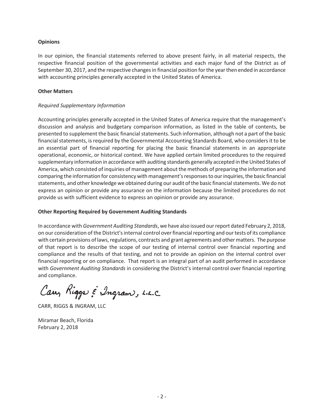### **Opinions**

In our opinion, the financial statements referred to above present fairly, in all material respects, the respective financial position of the governmental activities and each major fund of the District as of September 30, 2017, and the respective changes in financial position for the year then ended in accordance with accounting principles generally accepted in the United States of America.

### **Other Matters**

### *Required Supplementary Information*

Accounting principles generally accepted in the United States of America require that the management's discussion and analysis and budgetary comparison information, as listed in the table of contents, be presented to supplement the basic financial statements. Such information, although not a part of the basic financial statements, is required by the Governmental Accounting Standards Board, who considers it to be an essential part of financial reporting for placing the basic financial statements in an appropriate operational, economic, or historical context. We have applied certain limited procedures to the required supplementary information in accordance with auditing standards generally accepted in the United States of America, which consisted of inquiries of management about the methods of preparing the information and comparing the information for consistency with management's responses to our inquiries, the basic financial statements, and other knowledge we obtained during our audit of the basic financial statements. We do not express an opinion or provide any assurance on the information because the limited procedures do not provide us with sufficient evidence to express an opinion or provide any assurance.

### **Other Reporting Required by Government Auditing Standards**

In accordance with *Government Auditing Standards*, we have also issued ourreport dated February 2, 2018, on our consideration of the District's internal control over financial reporting and our tests of its compliance with certain provisions of laws, regulations, contracts and grant agreements and other matters. The purpose of that report is to describe the scope of our testing of internal control over financial reporting and compliance and the results of that testing, and not to provide an opinion on the internal control over financial reporting or on compliance. That report is an integral part of an audit performed in accordance with *Government Auditing Standards* in considering the District's internal control over financial reporting and compliance.

Carry Rigger & Ingram, L.L.C.

CARR, RIGGS & INGRAM, LLC

Miramar Beach, Florida February 2, 2018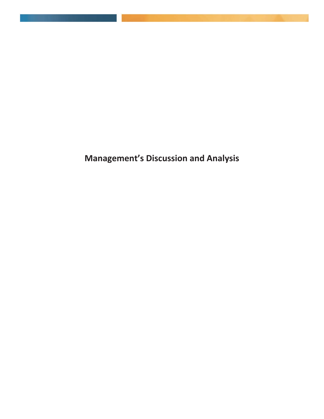# **Management's Discussion and Analysis**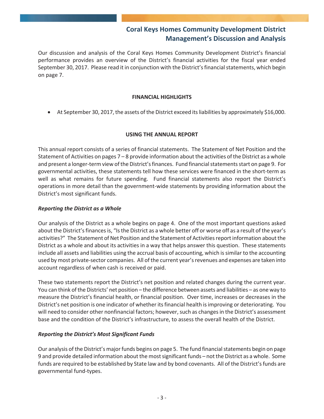Our discussion and analysis of the Coral Keys Homes Community Development District's financial performance provides an overview of the District's financial activities for the fiscal year ended September 30, 2017. Please read it in conjunction with the District's financial statements, which begin on page 7.

### **FINANCIAL HIGHLIGHTS**

• At September 30, 2017, the assets of the District exceed its liabilities by approximately \$16,000.

### **USING THE ANNUAL REPORT**

This annual report consists of a series of financial statements.The Statement of Net Position and the Statement of Activities on pages  $7 - 8$  provide information about the activities of the District as a whole and present a longer-term view of the District's finances. Fund financial statements start on page 9. For governmental activities, these statements tell how these services were financed in the short-term as well as what remains for future spending. Fund financial statements also report the District's operations in more detail than the government-wide statements by providing information about the District's most significant funds.

### *Reporting the District as a Whole*

Our analysis of the District as a whole begins on page 4. One of the most important questions asked about the District's finances is, "Is the District as a whole better off or worse off as a result of the year's activities?" The Statement of Net Position and the Statement of Activities report information about the District as a whole and about its activities in a way that helps answer this question. These statements include all assets and liabilities using the accrual basis of accounting, which issimilar to the accounting used by most private-sector companies. All of the current year's revenues and expenses are taken into account regardless of when cash is received or paid.

These two statements report the District's net position and related changes during the current year. You can think of the Districts' net position – the difference between assets and liabilities – as one way to measure the District's financial health, or financial position. Over time, increases or decreases in the District's net position is one indicator of whether its financial health is improving or deteriorating. You will need to consider other nonfinancial factors; however, such as changes in the District's assessment base and the condition of the District's infrastructure, to assess the overall health of the District.

### *Reporting the District's Most Significant Funds*

Our analysis of the District's major funds begins on page 5. The fund financial statements begin on page 9 and provide detailed information about the most significant funds – not the District as a whole. Some funds are required to be established by State law and by bond covenants. All of the District's funds are governmental fund-types.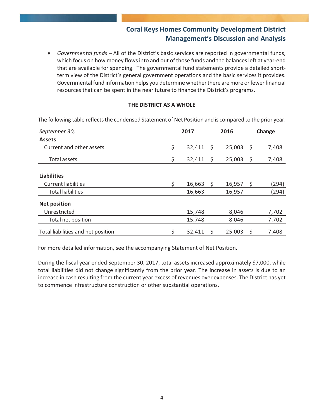x *Governmental funds* – All of the District's basic services are reported in governmental funds, which focus on how money flows into and out of those funds and the balances left at year-end that are available for spending. The governmental fund statements provide a detailed shortterm view of the District's general government operations and the basic services it provides. Governmental fund information helps you determine whether there are more or fewer financial resources that can be spent in the near future to finance the District's programs.

### **THE DISTRICT AS A WHOLE**

| September 30,                      | 2017 |             | 2016 |        | Change |       |
|------------------------------------|------|-------------|------|--------|--------|-------|
| <b>Assets</b>                      |      |             |      |        |        |       |
| Current and other assets           | \$   | 32,411      | \$   | 25,003 | \$     | 7,408 |
| Total assets                       | \$   | $32,411$ \$ |      | 25,003 | -\$    | 7,408 |
|                                    |      |             |      |        |        |       |
| <b>Liabilities</b>                 |      |             |      |        |        |       |
| <b>Current liabilities</b>         | \$   | 16,663      | - \$ | 16,957 | - \$   | (294) |
| <b>Total liabilities</b>           |      | 16,663      |      | 16,957 |        | (294) |
| <b>Net position</b>                |      |             |      |        |        |       |
| Unrestricted                       |      | 15,748      |      | 8,046  |        | 7,702 |
| Total net position                 |      | 15,748      |      | 8,046  |        | 7,702 |
| Total liabilities and net position | \$   | 32,411      | \$   | 25,003 | \$     | 7,408 |

The following table reflects the condensed Statement of Net Position and is compared to the prior year.

For more detailed information, see the accompanying Statement of Net Position.

During the fiscal year ended September 30, 2017, total assets increased approximately \$7,000, while total liabilities did not change significantly from the prior year. The increase in assets is due to an increase in cash resulting from the current year excess of revenues over expenses. The District has yet to commence infrastructure construction or other substantial operations.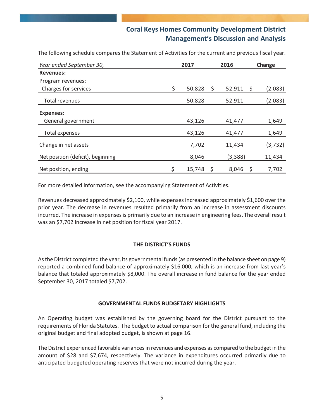| Year ended September 30,          | 2017 |        | 2016 |          | Change |          |
|-----------------------------------|------|--------|------|----------|--------|----------|
| <b>Revenues:</b>                  |      |        |      |          |        |          |
| Program revenues:                 |      |        |      |          |        |          |
| Charges for services              | \$   | 50,828 | \$   | 52,911   | \$     | (2,083)  |
| <b>Total revenues</b>             |      | 50,828 |      | 52,911   |        | (2,083)  |
| <b>Expenses:</b>                  |      |        |      |          |        |          |
| General government                |      | 43,126 |      | 41,477   |        | 1,649    |
| Total expenses                    |      | 43,126 |      | 41,477   |        | 1,649    |
| Change in net assets              |      | 7,702  |      | 11,434   |        | (3, 732) |
| Net position (deficit), beginning |      | 8,046  |      | (3, 388) |        | 11,434   |
| Net position, ending              | \$   | 15,748 | \$   | 8,046    | \$     | 7,702    |

The following schedule compares the Statement of Activities for the current and previous fiscal year.

For more detailed information, see the accompanying Statement of Activities.

Revenues decreased approximately \$2,100, while expenses increased approximately \$1,600 over the prior year. The decrease in revenues resulted primarily from an increase in assessment discounts incurred. The increase in expenses is primarily due to an increase in engineering fees. The overall result was an \$7,702 increase in net position for fiscal year 2017.

### **THE DISTRICT'S FUNDS**

Asthe District completed the year, its governmental funds(as presented in the balance sheet on page 9) reported a combined fund balance of approximately \$16,000, which is an increase from last year's balance that totaled approximately \$8,000. The overall increase in fund balance for the year ended September 30, 2017 totaled \$7,702.

### **GOVERNMENTAL FUNDS BUDGETARY HIGHLIGHTS**

An Operating budget was established by the governing board for the District pursuant to the requirements of Florida Statutes. The budget to actual comparison for the general fund, including the original budget and final adopted budget, is shown at page 16.

The District experienced favorable variances in revenues and expenses as compared to the budget in the amount of \$28 and \$7,674, respectively. The variance in expenditures occurred primarily due to anticipated budgeted operating reserves that were not incurred during the year.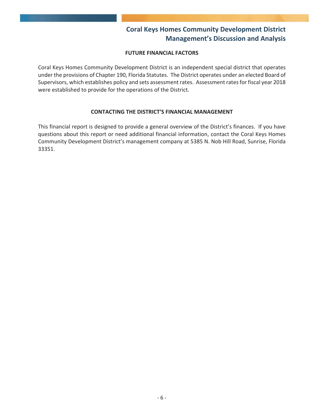### **FUTURE FINANCIAL FACTORS**

Coral Keys Homes Community Development District is an independent special district that operates under the provisions of Chapter 190, Florida Statutes.The District operates under an elected Board of Supervisors, which establishes policy and sets assessment rates. Assessment rates for fiscal year 2018 were established to provide for the operations of the District.

### **CONTACTING THE DISTRICT'S FINANCIAL MANAGEMENT**

This financial report is designed to provide a general overview of the District's finances. If you have questions about this report or need additional financial information, contact the Coral Keys Homes Community Development District's management company at 5385 N. Nob Hill Road, Sunrise, Florida 33351.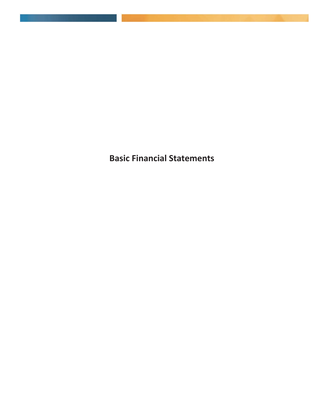**Basic Financial Statements**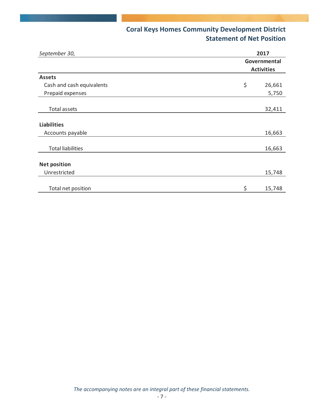# **Coral Keys Homes Community Development District Statement of Net Position**

| September 30,             | 2017              |  |
|---------------------------|-------------------|--|
|                           | Governmental      |  |
|                           | <b>Activities</b> |  |
| <b>Assets</b>             |                   |  |
| Cash and cash equivalents | \$<br>26,661      |  |
| Prepaid expenses          | 5,750             |  |
|                           |                   |  |
| <b>Total assets</b>       | 32,411            |  |
|                           |                   |  |
| <b>Liabilities</b>        |                   |  |
| Accounts payable          | 16,663            |  |
|                           |                   |  |
| <b>Total liabilities</b>  | 16,663            |  |
|                           |                   |  |
| <b>Net position</b>       |                   |  |
| Unrestricted              | 15,748            |  |
|                           |                   |  |
| Total net position        | \$<br>15,748      |  |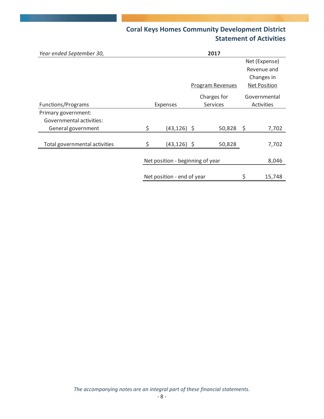# **Coral Keys Homes Community Development District Statement of Activities**

| Year ended September 30,      |                      |                                  |  | 2017                    |            |                     |  |
|-------------------------------|----------------------|----------------------------------|--|-------------------------|------------|---------------------|--|
|                               |                      |                                  |  |                         |            | Net (Expense)       |  |
|                               |                      |                                  |  |                         |            | Revenue and         |  |
|                               |                      |                                  |  |                         |            | Changes in          |  |
|                               |                      |                                  |  | <b>Program Revenues</b> |            | <b>Net Position</b> |  |
|                               |                      |                                  |  | Charges for             |            | Governmental        |  |
| Functions/Programs            | Expenses<br>Services |                                  |  |                         | Activities |                     |  |
| Primary government:           |                      |                                  |  |                         |            |                     |  |
| Governmental activities:      |                      |                                  |  |                         |            |                     |  |
| General government            | \$                   | $(43, 126)$ \$                   |  | 50,828                  | -\$        | 7,702               |  |
|                               |                      |                                  |  |                         |            |                     |  |
| Total governmental activities | \$                   | $(43, 126)$ \$                   |  | 50,828                  |            | 7,702               |  |
|                               |                      |                                  |  |                         |            |                     |  |
|                               |                      | Net position - beginning of year |  |                         |            | 8,046               |  |
|                               |                      |                                  |  |                         |            |                     |  |
|                               |                      | Net position - end of year       |  |                         | \$         | 15,748              |  |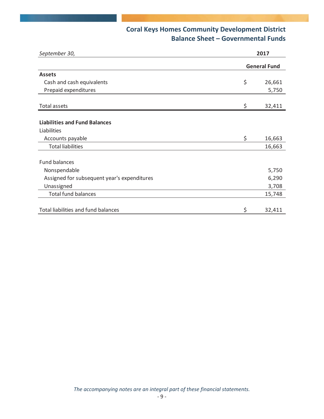# **Coral Keys Homes Community Development District Balance Sheet – Governmental Funds**

| September 30,                               |    |                     |  |  |  |
|---------------------------------------------|----|---------------------|--|--|--|
|                                             |    | <b>General Fund</b> |  |  |  |
| <b>Assets</b>                               |    |                     |  |  |  |
| Cash and cash equivalents                   | \$ | 26,661              |  |  |  |
| Prepaid expenditures                        |    | 5,750               |  |  |  |
|                                             |    |                     |  |  |  |
| Total assets                                | \$ | 32,411              |  |  |  |
|                                             |    |                     |  |  |  |
| <b>Liabilities and Fund Balances</b>        |    |                     |  |  |  |
| Liabilities                                 |    |                     |  |  |  |
| Accounts payable                            | \$ | 16,663              |  |  |  |
| <b>Total liabilities</b>                    |    | 16,663              |  |  |  |
|                                             |    |                     |  |  |  |
| <b>Fund balances</b>                        |    |                     |  |  |  |
| Nonspendable                                |    | 5,750               |  |  |  |
| Assigned for subsequent year's expenditures |    | 6,290               |  |  |  |
| Unassigned                                  |    | 3,708               |  |  |  |
| <b>Total fund balances</b>                  |    | 15,748              |  |  |  |
|                                             |    |                     |  |  |  |
| Total liabilities and fund balances         | \$ | 32,411              |  |  |  |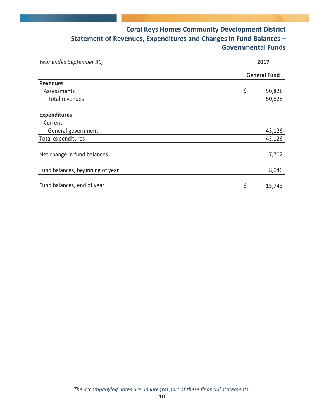## **Coral Keys Homes Community Development District Statement of Revenues, Expenditures and Changes in Fund Balances – Governmental Funds**

| Year ended September 30,         | 2017                |  |  |  |
|----------------------------------|---------------------|--|--|--|
|                                  | <b>General Fund</b> |  |  |  |
| <b>Revenues</b>                  |                     |  |  |  |
| Assessments                      | \$<br>50,828        |  |  |  |
| <b>Total revenues</b>            | 50,828              |  |  |  |
| <b>Expenditures</b>              |                     |  |  |  |
| Current:                         |                     |  |  |  |
| General government               | 43,126              |  |  |  |
| Total expenditures               | 43,126              |  |  |  |
| Net change in fund balances      | 7,702               |  |  |  |
| Fund balances, beginning of year | 8,046               |  |  |  |
| Fund balances, end of year       | \$<br>15,748        |  |  |  |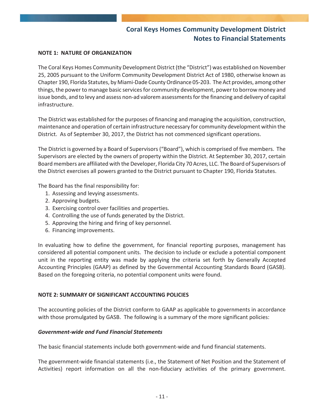### **NOTE 1:NATURE OF ORGANIZATION**

The Coral Keys Homes Community Development District (the "District") was established on November 25, 2005 pursuant to the Uniform Community Development District Act of 1980, otherwise known as Chapter 190, Florida Statutes, by Miami-Dade County Ordinance 05-203. The Act provides, among other things, the power to manage basic services for community development, power to borrow money and issue bonds, and to levy and assess non-ad valorem assessments for the financing and delivery of capital infrastructure.

The District was established for the purposes of financing and managing the acquisition, construction, maintenance and operation of certain infrastructure necessary for community development within the District. As of September 30, 2017, the District has not commenced significant operations.

The District is governed by a Board of Supervisors("Board"), which is comprised of five members.The Supervisors are elected by the owners of property within the District. At September 30, 2017, certain Board members are affiliated with the Developer, Florida City 70 Acres, LLC. The Board of Supervisors of the District exercises all powers granted to the District pursuant to Chapter 190, Florida Statutes.

The Board has the final responsibility for:

- 1. Assessing and levying assessments.
- 2. Approving budgets.
- 3. Exercising control over facilities and properties.
- 4. Controlling the use of funds generated by the District.
- 5. Approving the hiring and firing of key personnel.
- 6. Financing improvements.

In evaluating how to define the government, for financial reporting purposes, management has considered all potential component units. The decision to include or exclude a potential component unit in the reporting entity was made by applying the criteria set forth by Generally Accepted Accounting Principles (GAAP) as defined by the Governmental Accounting Standards Board (GASB). Based on the foregoing criteria, no potential component units were found.

### **NOTE 2: SUMMARY OF SIGNIFICANT ACCOUNTING POLICIES**

The accounting policies of the District conform to GAAP as applicable to governments in accordance with those promulgated by GASB. The following is a summary of the more significant policies:

### *GovernmentͲwide and Fund Financial Statements*

The basic financial statements include both government-wide and fund financial statements.

The government-wide financial statements (i.e., the Statement of Net Position and the Statement of Activities) report information on all the non-fiduciary activities of the primary government.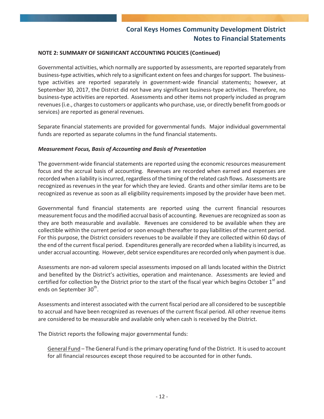### **NOTE 2: SUMMARY OF SIGNIFICANT ACCOUNTING POLICIES (Continued)**

Governmental activities, which normally are supported by assessments, are reported separately from business-type activities, which rely to a significant extent on fees and charges for support. The businesstype activities are reported separately in government-wide financial statements; however, at September 30, 2017, the District did not have any significant business-type activities. Therefore, no business-type activities are reported. Assessments and other items not properly included as program revenues (i.e., charges to customers or applicants who purchase, use, or directly benefit from goods or services) are reported as general revenues.

Separate financial statements are provided for governmental funds.Major individual governmental funds are reported as separate columns in the fund financial statements.

### *Measurement Focus, Basis of Accounting and Basis of Presentation*

The government-wide financial statements are reported using the economic resources measurement focus and the accrual basis of accounting. Revenues are recorded when earned and expenses are recorded when a liability is incurred, regardless of the timing of the related cash flows. Assessments are recognized as revenues in the year for which they are levied. Grants and other similar items are to be recognized as revenue as soon as all eligibility requirements imposed by the provider have been met.

Governmental fund financial statements are reported using the current financial resources measurement focus and the modified accrual basis of accounting. Revenues are recognized as soon as they are both measurable and available. Revenues are considered to be available when they are collectible within the current period or soon enough thereafter to pay liabilities of the current period. For this purpose, the District considers revenues to be available if they are collected within 60 days of the end of the current fiscal period. Expenditures generally are recorded when a liability is incurred, as under accrual accounting. However, debt service expenditures are recorded only when payment is due.

Assessments are non-ad valorem special assessments imposed on all lands located within the District and benefited by the District's activities, operation and maintenance. Assessments are levied and certified for collection by the District prior to the start of the fiscal year which begins October 1<sup>st</sup> and ends on September 30th.

Assessments and interest associated with the current fiscal period are all considered to be susceptible to accrual and have been recognized as revenues of the current fiscal period. All other revenue items are considered to be measurable and available only when cash is received by the District.

The District reports the following major governmental funds:

General Fund – The General Fund is the primary operating fund of the District. It is used to account for all financial resources except those required to be accounted for in other funds.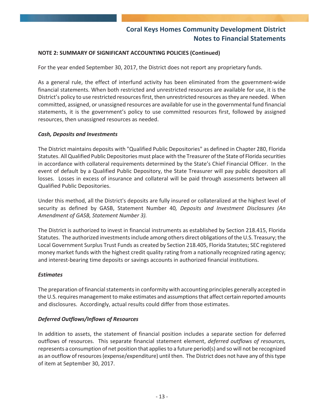### **NOTE 2: SUMMARY OF SIGNIFICANT ACCOUNTING POLICIES (Continued)**

For the year ended September 30, 2017, the District does not report any proprietary funds.

As a general rule, the effect of interfund activity has been eliminated from the government-wide financial statements. When both restricted and unrestricted resources are available for use, it is the District's policy to use restricted resources first, then unrestricted resources as they are needed. When committed, assigned, or unassigned resources are available for use in the governmental fund financial statements, it is the government's policy to use committed resources first, followed by assigned resources, then unassigned resources as needed.

### *Cash, Deposits and Investments*

The District maintains deposits with "Qualified Public Depositories" as defined in Chapter 280, Florida Statutes. AllQualified Public Depositories must place with the Treasurer ofthe State of Florida securities in accordance with collateral requirements determined by the State's Chief Financial Officer. In the event of default by a Qualified Public Depository, the State Treasurer will pay public depositors all losses. Losses in excess of insurance and collateral will be paid through assessments between all Qualified Public Depositories.

Under this method, all the District's deposits are fully insured or collateralized at the highest level of security as defined by GASB, Statement Number 40*, Deposits and Investment Disclosures (An Amendment of GASB, Statement Number 3).*

The District is authorized to invest in financial instruments as established by Section 218.415, Florida Statutes. The authorized investments include among others direct obligations of the U.S. Treasury; the Local Government Surplus Trust Funds as created by Section 218.405, Florida Statutes; SEC registered money market funds with the highest credit quality rating from a nationally recognized rating agency; and interest-bearing time deposits or savings accounts in authorized financial institutions.

### *Estimates*

The preparation of financial statements in conformity with accounting principles generally accepted in the U.S. requires management to make estimates and assumptions that affect certain reported amounts and disclosures. Accordingly, actual results could differ from those estimates.

### *Deferred Outflows/Inflows of Resources*

In addition to assets, the statement of financial position includes a separate section for deferred outflows of resources.This separate financial statement element, *deferred outflows of resources,* represents a consumption of net position that applies to a future period(s) and so will not be recognized as an outflow of resources (expense/expenditure) until then. The District does not have any of this type of item at September 30, 2017.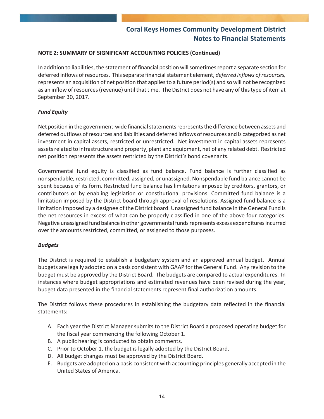### **NOTE 2: SUMMARY OF SIGNIFICANT ACCOUNTING POLICIES (Continued)**

In addition to liabilities, the statement of financial position willsometimesreport a separate section for deferred inflows ofresources.Thisseparate financialstatement element, *deferred inflows ofresources,* represents an acquisition of net position that appliesto a future period(s) and so will not be recognized as an inflow of resources (revenue) until that time. The District does not have any of this type of item at September 30, 2017.

### *Fund Equity*

Net position in the government-wide financial statements represents the difference between assets and deferred outflows ofresources and liabilities and deferred inflows ofresources and is categorized as net investment in capital assets, restricted or unrestricted. Net investment in capital assets represents assets related to infrastructure and property, plant and equipment, net of any related debt. Restricted net position represents the assets restricted by the District's bond covenants.

Governmental fund equity is classified as fund balance. Fund balance is further classified as nonspendable, restricted, committed, assigned, or unassigned. Nonspendable fund balance cannot be spent because of its form. Restricted fund balance has limitations imposed by creditors, grantors, or contributors or by enabling legislation or constitutional provisions. Committed fund balance is a limitation imposed by the District board through approval of resolutions. Assigned fund balance is a limitation imposed by a designee of the District board. Unassigned fund balance in the General Fund is the net resources in excess of what can be properly classified in one of the above four categories. Negative unassigned fund balance in other governmental fundsrepresents excess expendituresincurred over the amounts restricted, committed, or assigned to those purposes.

### *Budgets*

The District is required to establish a budgetary system and an approved annual budget. Annual budgets are legally adopted on a basis consistent with GAAP for the General Fund. Any revision to the budget must be approved by the District Board. The budgets are compared to actual expenditures. In instances where budget appropriations and estimated revenues have been revised during the year, budget data presented in the financial statements represent final authorization amounts.

The District follows these procedures in establishing the budgetary data reflected in the financial statements:

- A. Each year the District Manager submits to the District Board a proposed operating budget for the fiscal year commencing the following October 1.
- B. A public hearing is conducted to obtain comments.
- C. Prior to October 1, the budget is legally adopted by the District Board.
- D. All budget changes must be approved by the District Board.
- E. Budgets are adopted on a basis consistent with accounting principles generally accepted in the United States of America.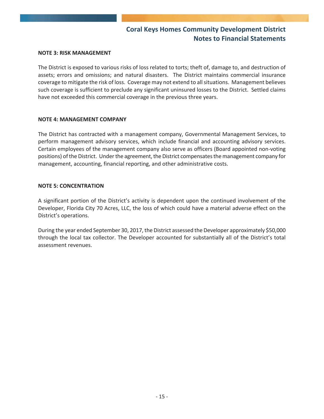#### **NOTE 3: RISK MANAGEMENT**

The District is exposed to various risks of loss related to torts; theft of, damage to, and destruction of assets; errors and omissions; and natural disasters. The District maintains commercial insurance coverage to mitigate the risk of loss. Coverage may not extend to all situations. Management believes such coverage is sufficient to preclude any significant uninsured losses to the District. Settled claims have not exceeded this commercial coverage in the previous three years.

### **NOTE 4: MANAGEMENT COMPANY**

The District has contracted with a management company, Governmental Management Services, to perform management advisory services, which include financial and accounting advisory services. Certain employees of the management company also serve as officers (Board appointed non-voting positions) of the District. Under the agreement, the District compensates the management company for management, accounting, financial reporting, and other administrative costs.

#### **NOTE 5: CONCENTRATION**

A significant portion of the District's activity is dependent upon the continued involvement of the Developer, Florida City 70 Acres, LLC, the loss of which could have a material adverse effect on the District's operations.

During the year ended September 30, 2017, the District assessed the Developer approximately \$50,000 through the local tax collector. The Developer accounted for substantially all of the District's total assessment revenues.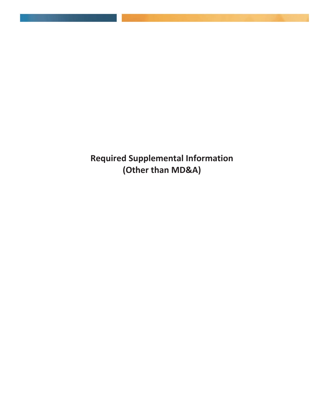**Required Supplemental Information (Other than MD&A)**

ī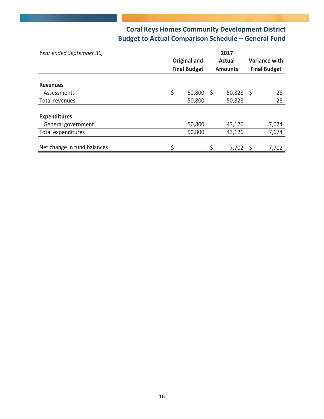# **Coral Keys Homes Community Development District Budget to Actual Comparison Schedule – General Fund**

| Year ended September 30,    |                     | 2017                |         |                |                     |                      |  |
|-----------------------------|---------------------|---------------------|---------|----------------|---------------------|----------------------|--|
|                             | <b>Original and</b> |                     |         | <b>Actual</b>  |                     | <b>Variance with</b> |  |
|                             |                     | <b>Final Budget</b> |         | <b>Amounts</b> |                     | <b>Final Budget</b>  |  |
| <b>Revenues</b>             |                     |                     |         |                |                     |                      |  |
| Assessments                 | \$                  | 50,800              | $\zeta$ | 50,828         | $\ddot{\mathsf{S}}$ | 28                   |  |
| Total revenues              |                     | 50,800              |         | 50,828         |                     | 28                   |  |
| <b>Expenditures</b>         |                     |                     |         |                |                     |                      |  |
| General government          |                     | 50,800              |         | 43,126         |                     | 7,674                |  |
| Total expenditures          |                     | 50,800              |         | 43,126         |                     | 7,674                |  |
| Net change in fund balances | \$                  |                     | - \$    | 7,702          | -\$                 | 7,702                |  |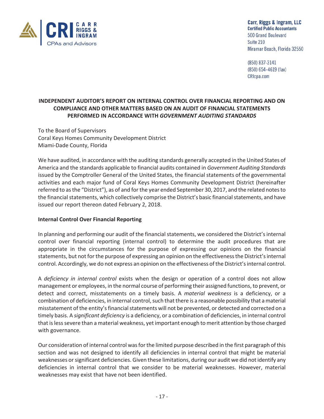

Carr. Riggs & Ingram, LLC **Certified Public Accountants** 500 Grand Boulevard Suite 210 Miramar Beach, Florida 32550

(850) 837-3141  $(850) 654 - 4619$  (fax) CRIcpa.com

### **INDEPENDENT AUDITOR'S REPORT ON INTERNAL CONTROL OVER FINANCIAL REPORTING AND ON COMPLIANCE AND OTHER MATTERS BASED ON AN AUDIT OF FINANCIAL STATEMENTS PERFORMED IN ACCORDANCE WITH** *GOVERNMENT AUDITING STANDARDS*

To the Board of Supervisors Coral Keys Homes Community Development District Miami-Dade County, Florida

We have audited, in accordance with the auditing standards generally accepted in the United States of America and the standards applicable to financial audits contained in *Government Auditing Standards* issued by the Comptroller General of the United States, the financial statements of the governmental activities and each major fund of Coral Keys Homes Community Development District (hereinafter referred to asthe "District"), as of and for the year ended September 30, 2017, and the related notesto the financial statements, which collectively comprise the District's basic financial statements, and have issued our report thereon dated February 2, 2018.

### **Internal Control Over Financial Reporting**

In planning and performing our audit of the financial statements, we considered the District's internal control over financial reporting (internal control) to determine the audit procedures that are appropriate in the circumstances for the purpose of expressing our opinions on the financial statements, but not for the purpose of expressing an opinion on the effectivenessthe District'sinternal control. Accordingly, we do not express an opinion on the effectiveness of the District's internal control.

A *deficiency in internal control* exists when the design or operation of a control does not allow management or employees, in the normal course of performing their assigned functions,to prevent, or detect and correct, misstatements on a timely basis. A *material weakness* is a deficiency, or a combination of deficiencies, in internal control, such that there is a reasonable possibility that a material misstatement of the entity's financial statements will not be prevented, or detected and corrected on a timely basis. A *significant deficiency* is a deficiency, or a combination of deficiencies, in internal control that is less severe than a material weakness, yet important enough to merit attention by those charged with governance.

Our consideration of internal control wasforthe limited purpose described in the first paragraph ofthis section and was not designed to identify all deficiencies in internal control that might be material weaknesses or significant deficiencies. Given these limitations, during our audit we did not identify any deficiencies in internal control that we consider to be material weaknesses. However, material weaknesses may exist that have not been identified.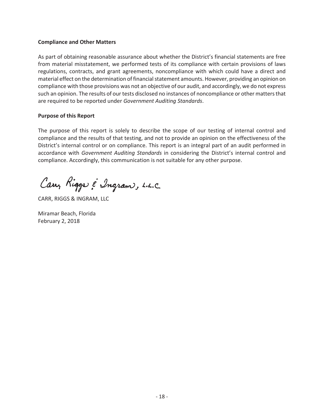### **Compliance and Other Matters**

As part of obtaining reasonable assurance about whether the District's financial statements are free from material misstatement, we performed tests of its compliance with certain provisions of laws regulations, contracts, and grant agreements, noncompliance with which could have a direct and material effect on the determination of financial statement amounts. However, providing an opinion on compliance with those provisions was not an objective of our audit, and accordingly, we do not express such an opinion. The results of our tests disclosed no instances of noncompliance or other mattersthat are required to be reported under *Government Auditing Standards*.

### **Purpose of this Report**

The purpose of this report is solely to describe the scope of our testing of internal control and compliance and the results of that testing, and not to provide an opinion on the effectiveness of the District's internal control or on compliance. This report is an integral part of an audit performed in accordance with *Government Auditing Standards* in considering the District's internal control and compliance. Accordingly, this communication is not suitable for any other purpose.

Carry Rigge & Ingram, L.L.C.

CARR, RIGGS & INGRAM, LLC

Miramar Beach, Florida February 2, 2018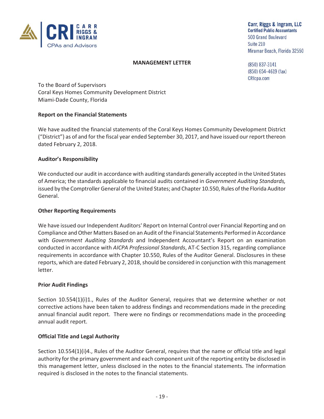

#### **MANAGEMENT LETTER**

Carr, Riggs & Ingram, LLC **Certified Public Accountants** 500 Grand Boulevard Suite 210 Miramar Beach, Florida 32550

(850) 837-3141  $(850) 654 - 4619$  (fax) CRIcpa.com

To the Board of Supervisors Coral Keys Homes Community Development District Miami-Dade County, Florida

### **Report on the Financial Statements**

We have audited the financial statements of the Coral Keys Homes Community Development District ("District") as of and for the fiscal year ended September 30, 2017, and have issued our report thereon dated February 2, 2018.

### **Auditor's Responsibility**

We conducted our audit in accordance with auditing standards generally accepted in the United States of America; the standards applicable to financial audits contained in *Government Auditing Standards,* issued by the Comptroller General of the United States; and Chapter 10.550, Rules of the Florida Auditor General.

### **Other Reporting Requirements**

We have issued our Independent Auditors' Report on Internal Control over Financial Reporting and on Compliance and Other Matters Based on an Audit of the Financial Statements Performed in Accordance with *Government Auditing Standards* and Independent Accountant's Report on an examination conducted in accordance with *AICPA Professional Standards*, ATͲC Section 315, regarding compliance requirements in accordance with Chapter 10.550, Rules of the Auditor General. Disclosures in these reports, which are dated February 2, 2018, should be considered in conjunction with this management letter.

### **Prior Audit Findings**

Section 10.554(1)(i)1., Rules of the Auditor General, requires that we determine whether or not corrective actions have been taken to address findings and recommendations made in the preceding annual financial audit report. There were no findings or recommendations made in the proceeding annual audit report.

### **Official Title and Legal Authority**

Section 10.554(1)(i)4., Rules of the Auditor General, requires that the name or official title and legal authority for the primary government and each component unit of the reporting entity be disclosed in this management letter, unless disclosed in the notes to the financial statements. The information required is disclosed in the notes to the financial statements.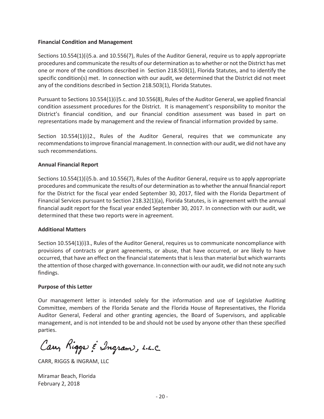### **Financial Condition and Management**

Sections 10.554(1)(i)5.a. and 10.556(7), Rules of the Auditor General, require us to apply appropriate procedures and communicate the results of our determination asto whether or notthe District has met one or more of the conditions described in Section 218.503(1), Florida Statutes, and to identify the specific condition(s) met. In connection with our audit, we determined that the District did not meet any of the conditions described in Section 218.503(1), Florida Statutes.

Pursuant to Sections 10.554(1)(i)5.c. and 10.556(8), Rules of the Auditor General, we applied financial condition assessment procedures for the District. It is management's responsibility to monitor the District's financial condition, and our financial condition assessment was based in part on representations made by management and the review of financial information provided by same.

Section 10.554(1)(i)2., Rules of the Auditor General, requires that we communicate any recommendationsto improve financial management. In connection with our audit, we did not have any such recommendations.

### **Annual Financial Report**

Sections 10.554(1)(i)5.b. and 10.556(7), Rules of the Auditor General, require us to apply appropriate procedures and communicate the results of our determination as to whether the annual financial report for the District for the fiscal year ended September 30, 2017, filed with the Florida Department of Financial Services pursuant to Section 218.32(1)(a), Florida Statutes, is in agreement with the annual financial audit report for the fiscal year ended September 30, 2017. In connection with our audit, we determined that these two reports were in agreement.

### **Additional Matters**

Section 10.554(1)(i)3., Rules of the Auditor General, requires us to communicate noncompliance with provisions of contracts or grant agreements, or abuse, that have occurred, or are likely to have occurred, that have an effect on the financial statementsthat is lessthan material but which warrants the attention of those charged with governance. In connection with our audit, we did not note any such findings.

### **Purpose of this Letter**

Our management letter is intended solely for the information and use of Legislative Auditing Committee, members of the Florida Senate and the Florida House of Representatives, the Florida Auditor General, Federal and other granting agencies, the Board of Supervisors, and applicable management, and is not intended to be and should not be used by anyone other than these specified parties.

Carry Rigge & Ingram, L.L.C.

CARR, RIGGS & INGRAM, LLC

Miramar Beach, Florida February 2, 2018